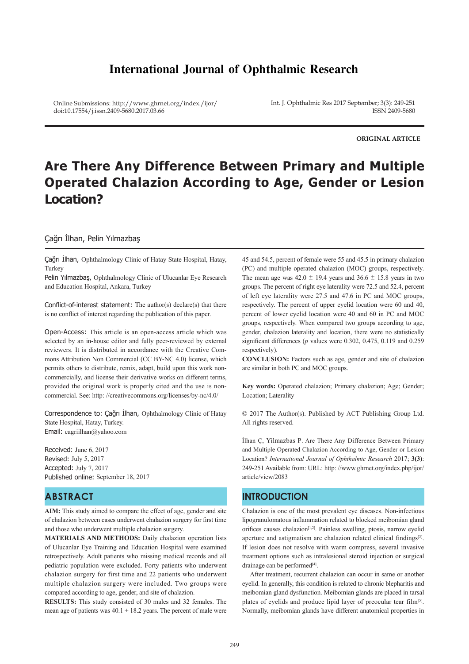# **International Journal of Ophthalmic Research**

Online Submissions: http://www.ghrnet.org/index./ijor/ doi:10.17554/j.issn.2409-5680.2017.03.66

Int. J. Ophthalmic Res 2017 September; 3(3): 249-251 ISSN 2409-5680

**ORIGINAL ARTICLE**

# **Are There Any Difference Between Primary and Multiple Operated Chalazion According to Age, Gender or Lesion Location?**

#### Çağrı İlhan, Pelin Yılmazbaş

Çağrı İlhan, Ophthalmology Clinic of Hatay State Hospital, Hatay, Turkey

Pelin Yılmazbaş, Ophthalmology Clinic of Ulucanlar Eye Research and Education Hospital, Ankara, Turkey

Conflict-of-interest statement: The author(s) declare(s) that there is no conflict of interest regarding the publication of this paper.

Open-Access: This article is an open-access article which was selected by an in-house editor and fully peer-reviewed by external reviewers. It is distributed in accordance with the Creative Commons Attribution Non Commercial (CC BY-NC 4.0) license, which permits others to distribute, remix, adapt, build upon this work noncommercially, and license their derivative works on different terms, provided the original work is properly cited and the use is noncommercial. See: http: //creativecommons.org/licenses/by-nc/4.0/

Correspondence to: Çağrı İlhan, Ophthalmology Clinic of Hatay State Hospital, Hatay, Turkey. Email: cagriilhan@yahoo.com

Received: June 6, 2017 Revised: July 5, 2017 Accepted: July 7, 2017 Published online: September 18, 2017

## **ABSTRACT**

**AIM:** This study aimed to compare the effect of age, gender and site of chalazion between cases underwent chalazion surgery for first time and those who underwent multiple chalazion surgery.

**MATERIALS AND METHODS:** Daily chalazion operation lists of Ulucanlar Eye Training and Education Hospital were examined retrospectively. Adult patients who missing medical records and all pediatric population were excluded. Forty patients who underwent chalazion surgery for first time and 22 patients who underwent multiple chalazion surgery were included. Two groups were compared according to age, gender, and site of chalazion.

**RESULTS:** This study consisted of 30 males and 32 females. The mean age of patients was  $40.1 \pm 18.2$  years. The percent of male were

45 and 54.5, percent of female were 55 and 45.5 in primary chalazion (PC) and multiple operated chalazion (MOC) groups, respectively. The mean age was  $42.0 \pm 19.4$  years and  $36.6 \pm 15.8$  years in two groups. The percent of right eye laterality were 72.5 and 52.4, percent of left eye laterality were 27.5 and 47.6 in PC and MOC groups, respectively. The percent of upper eyelid location were 60 and 40, percent of lower eyelid location were 40 and 60 in PC and MOC groups, respectively. When compared two groups according to age, gender, chalazion laterality and location, there were no statistically significant differences (*p* values were 0.302, 0.475, 0.119 and 0.259 respectively)

**CONCLUSION:** Factors such as age, gender and site of chalazion are similar in both PC and MOC groups.

**Key words:** Operated chalazion; Primary chalazion; Age; Gender; Location; Laterality

© 2017 The Author(s). Published by ACT Publishing Group Ltd. All rights reserved.

İlhan Ç, Yilmazbas P. Are There Any Difference Between Primary and Multiple Operated Chalazion According to Age, Gender or Lesion Location? *International Journal of Ophthalmic Research* 2017; **3(3)**: 249-251 Available from: URL: http: //www.ghrnet.org/index.php/ijor/ article/view/2083

### **INTRODUCTION**

Chalazion is one of the most prevalent eye diseases. Non-infectious lipogranulomatous inflammation related to blocked meibomian gland orifices causes chalazion[1,2]. Painless swelling, ptosis, narrow eyelid aperture and astigmatism are chalazion related clinical findings<sup>[3]</sup>. If lesion does not resolve with warm compress, several invasive treatment options such as intralesional steroid injection or surgical drainage can be performed<sup>[4]</sup>.

 After treatment, recurrent chalazion can occur in same or another eyelid. In generally, this condition is related to chronic blepharitis and meibomian gland dysfunction. Meibomian glands are placed in tarsal plates of eyelids and produce lipid layer of preocular tear film<sup>[5]</sup>. Normally, meibomian glands have different anatomical properties in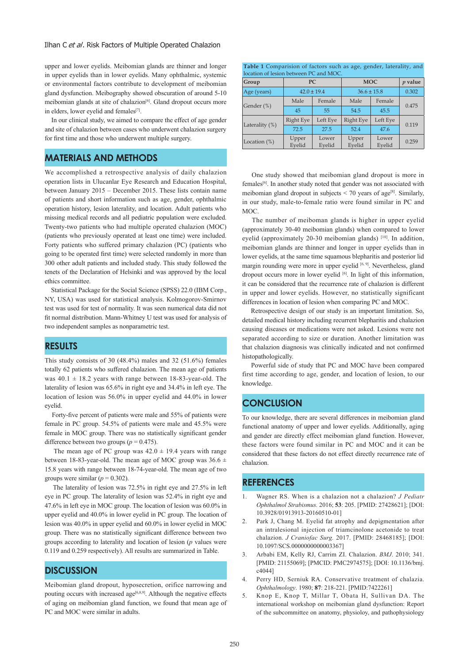upper and lower eyelids. Meibomian glands are thinner and longer in upper eyelids than in lower eyelids. Many ophthalmic, systemic or environmental factors contribute to development of meibomian gland dysfunction. Meibography showed obscuration of around 5-10 meibomian glands at site of chalazion<sup>[6]</sup>. Gland dropout occurs more in elders, lower eyelid and females<sup>[7]</sup>.

 In our clinical study, we aimed to compare the effect of age gender and site of chalazion between cases who underwent chalazion surgery for first time and those who underwent multiple surgery.

#### **MATERIALS AND METHODS**

We accomplished a retrospective analysis of daily chalazion operation lists in Ulucanlar Eye Research and Education Hospital, between January 2015 – December 2015. These lists contain name of patients and short information such as age, gender, ophthalmic operation history, lesion laterality, and location. Adult patients who missing medical records and all pediatric population were excluded. Twenty-two patients who had multiple operated chalazion (MOC) (patients who previously operated at least one time) were included. Forty patients who suffered primary chalazion (PC) (patients who going to be operated first time) were selected randomly in more than 300 other adult patients and included study. This study followed the tenets of the Declaration of Helsinki and was approved by the local ethics committee.

 Statistical Package for the Social Science (SPSS) 22.0 (IBM Corp., NY, USA) was used for statistical analysis. Kolmogorov-Smirnov test was used for test of normality. It was seen numerical data did not fit normal distribution. Mann-Whitney U test was used for analysis of two independent samples as nonparametric test.

#### **RESULTS**

This study consists of 30 (48.4%) males and 32 (51.6%) females totally 62 patients who suffered chalazion. The mean age of patients was  $40.1 \pm 18.2$  years with range between 18-83-year-old. The laterality of lesion was 65.6% in right eye and 34.4% in left eye. The location of lesion was 56.0% in upper eyelid and 44.0% in lower eyelid.

 Forty-five percent of patients were male and 55% of patients were female in PC group. 54.5% of patients were male and 45.5% were female in MOC group. There was no statistically significant gender difference between two groups ( $p = 0.475$ ).

The mean age of PC group was  $42.0 \pm 19.4$  years with range between 18-83-year-old. The mean age of MOC group was  $36.6 \pm$ 15.8 years with range between 18-74-year-old. The mean age of two groups were similar ( $p = 0.302$ ).

 The laterality of lesion was 72.5% in right eye and 27.5% in left eye in PC group. The laterality of lesion was 52.4% in right eye and 47.6% in left eye in MOC group. The location of lesion was 60.0% in upper eyelid and 40.0% in lower eyelid in PC group. The location of lesion was 40.0% in upper eyelid and 60.0% in lower eyelid in MOC group. There was no statistically significant difference between two groups according to laterality and location of lesion (*p* values were 0.119 and 0.259 respectively). All results are summarized in Table.

#### **DISCUSSION**

Meibomian gland dropout, hyposecretion, orifice narrowing and pouting occurs with increased age<sup>[6,8,9]</sup>. Although the negative effects of aging on meibomian gland function, we found that mean age of PC and MOC were similar in adults.

**Table 1** Comparision of factors such as age, gender, laterality, and  $PC$  and MOC.

| Group           | PC               |                 | <b>MOC</b>       |                 | $p$ value |
|-----------------|------------------|-----------------|------------------|-----------------|-----------|
| Age (years)     | $42.0 \pm 19.4$  |                 | $36.6 \pm 15.8$  |                 | 0.302     |
| Gender (%)      | Male             | Female          | Male             | Female          | 0.475     |
|                 | 45               | 55              | 54.5             | 45.5            |           |
| Laterality (%)  | <b>Right Eye</b> | Left Eve        | <b>Right Eye</b> | Left Eye        | 0.119     |
|                 | 72.5             | 27.5            | 52.4             | 47.6            |           |
| Location $(\%)$ | Upper<br>Evelid  | Lower<br>Evelid | Upper<br>Evelid  | Lower<br>Evelid | 0.259     |

 One study showed that meibomian gland dropout is more in females[6]. In another study noted that gender was not associated with meibomian gland dropout in subjects  $\leq$  70 years of age<sup>[8]</sup>. Similarly, in our study, male-to-female ratio were found similar in PC and MOC.

 The number of meiboman glands is higher in upper eyelid (approximately 30-40 meibomian glands) when compared to lower eyelid (approximately 20-30 meibomian glands)  $[10]$ . In addition, meibomian glands are thinner and longer in upper eyelids than in lower eyelids, at the same time squamous blepharitis and posterior lid margin rounding were more in upper eyelid  $[6, 9]$ . Nevertheless, gland dropout occurs more in lower evelid  $[6]$ . In light of this information, it can be considered that the recurrence rate of chalazion is different in upper and lower eyelids. However, no statistically significant differences in location of lesion when comparing PC and MOC.

 Retrospective design of our study is an important limitation. So, detailed medical history including recurrent blepharitis and chalazion causing diseases or medications were not asked. Lesions were not separated according to size or duration. Another limitation was that chalazion diagnosis was clinically indicated and not confirmed histopathologically.

 Powerful side of study that PC and MOC have been compared first time according to age, gender, and location of lesion, to our knowledge.

#### **CONCLUSION**

To our knowledge, there are several differences in meibomian gland functional anatomy of upper and lower eyelids. Additionally, aging and gender are directly effect meibomian gland function. However, these factors were found similar in PC and MOC and it can be considered that these factors do not effect directly recurrence rate of chalazion.

#### **REFERENCES**

- 1. Wagner RS. When is a chalazion not a chalazion? *J Pediatr Ophthalmol Strabismus.* 2016; **53**: 205. [PMID: 27428621]; [DOI: 10.3928/01913913-20160510-01]
- 2. Park J, Chang M. Eyelid fat atrophy and depigmentation after an intralesional injection of triamcinolone acetonide to treat chalazion. *J Craniofac Surg.* 2017. [PMID: 28468185]; [DOI: 10.1097/SCS.0000000000003367]
- 3. Arbabi EM, Kelly RJ, Carrim ZI. Chalazion. *BMJ*. 2010; 341. [PMID: 21155069]; [PMCID: PMC2974575]; [DOI: 10.1136/bmj. c4044]
- 4. Perry HD, Serniuk RA. Conservative treatment of chalazia. *Ophthalmology*. 1980; **87**: 218-221. [PMID:7422261]
- 5. Knop E, Knop T, Millar T, Obata H, Sullivan DA. The international workshop on meibomian gland dysfunction: Report of the subcommittee on anatomy, physioloy, and pathophysiology